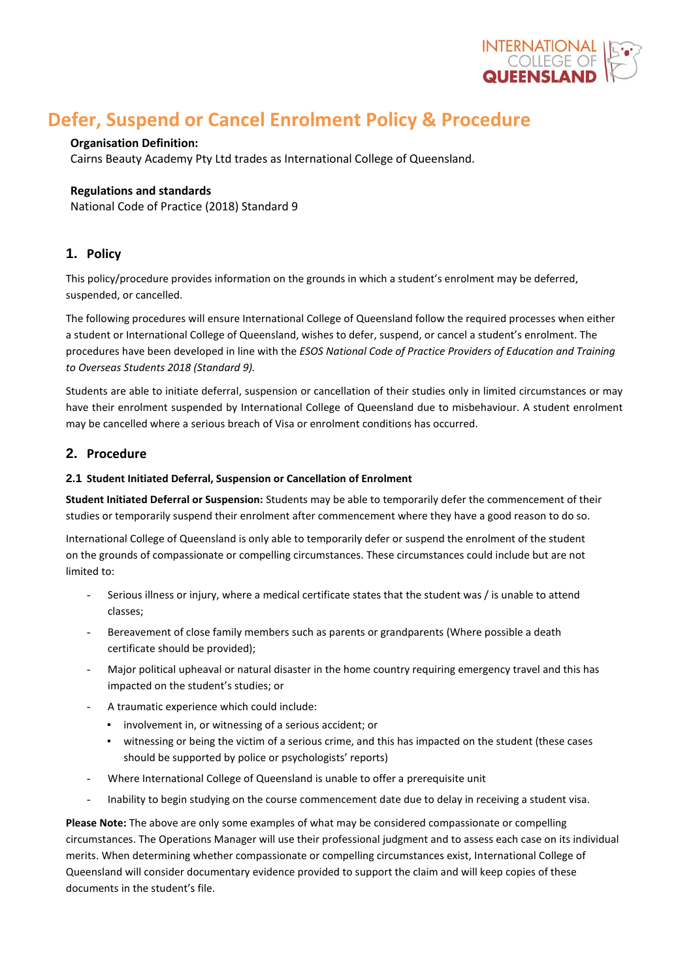

# **Defer, Suspend or Cancel Enrolment Policy & Procedure**

# **Organisation Definition:**

Cairns Beauty Academy Pty Ltd trades as International College of Queensland.

# **Regulations and standards**

National Code of Practice (2018) Standard 9

# **1. Policy**

This policy/procedure provides information on the grounds in which a student's enrolment may be deferred, suspended, or cancelled.

The following procedures will ensure International College of Queensland follow the required processes when either a student or International College of Queensland, wishes to defer, suspend, or cancel a student's enrolment. The procedures have been developed in line with the *ESOS National Code of Practice Providers of Education and Training to Overseas Students 2018 (Standard 9).*

Students are able to initiate deferral, suspension or cancellation of their studies only in limited circumstances or may have their enrolment suspended by International College of Queensland due to misbehaviour. A student enrolment may be cancelled where a serious breach of Visa or enrolment conditions has occurred.

# **2. Procedure**

## **2.1 Student Initiated Deferral, Suspension or Cancellation of Enrolment**

**Student Initiated Deferral or Suspension:** Students may be able to temporarily defer the commencement of their studies or temporarily suspend their enrolment after commencement where they have a good reason to do so.

International College of Queensland is only able to temporarily defer or suspend the enrolment of the student on the grounds of compassionate or compelling circumstances. These circumstances could include but are not limited to:

- Serious illness or injury, where a medical certificate states that the student was / is unable to attend classes;
- Bereavement of close family members such as parents or grandparents (Where possible a death certificate should be provided);
- Major political upheaval or natural disaster in the home country requiring emergency travel and this has impacted on the student's studies; or
- A traumatic experience which could include:
	- involvement in, or witnessing of a serious accident; or
	- witnessing or being the victim of a serious crime, and this has impacted on the student (these cases should be supported by police or psychologists' reports)
- Where International College of Queensland is unable to offer a prerequisite unit
- Inability to begin studying on the course commencement date due to delay in receiving a student visa.

**Please Note:** The above are only some examples of what may be considered compassionate or compelling circumstances. The Operations Manager will use their professional judgment and to assess each case on its individual merits. When determining whether compassionate or compelling circumstances exist, International College of Queensland will consider documentary evidence provided to support the claim and will keep copies of these documents in the student's file.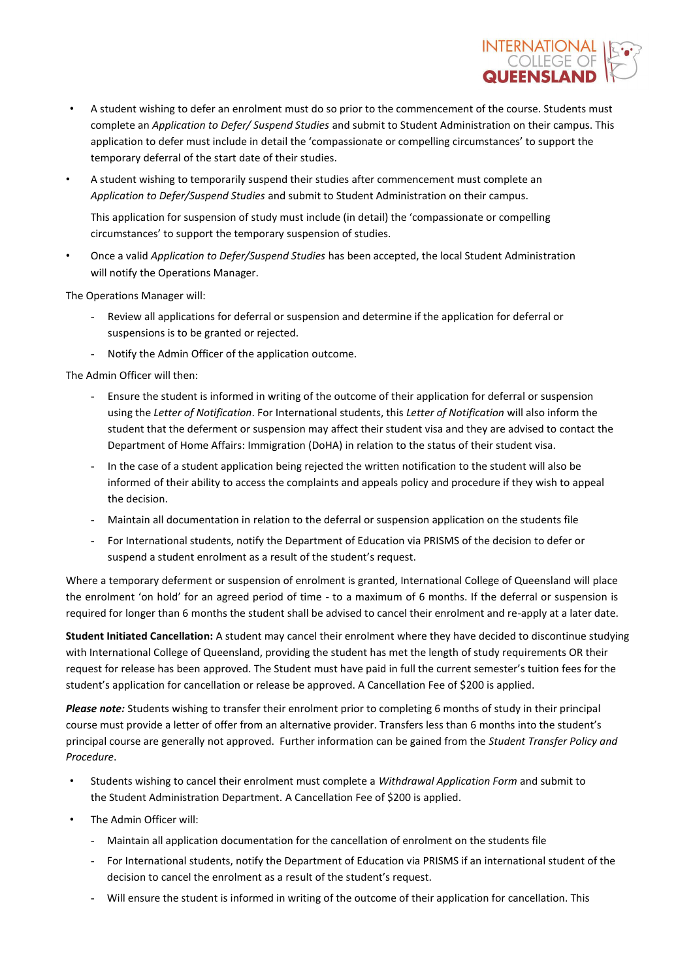

- A student wishing to defer an enrolment must do so prior to the commencement of the course. Students must complete an *Application to Defer/ Suspend Studies* and submit to Student Administration on their campus. This application to defer must include in detail the 'compassionate or compelling circumstances' to support the temporary deferral of the start date of their studies.
- A student wishing to temporarily suspend their studies after commencement must complete an *Application to Defer/Suspend Studies* and submit to Student Administration on their campus.

This application for suspension of study must include (in detail) the 'compassionate or compelling circumstances' to support the temporary suspension of studies.

• Once a valid *Application to Defer/Suspend Studies* has been accepted, the local Student Administration will notify the Operations Manager.

The Operations Manager will:

- Review all applications for deferral or suspension and determine if the application for deferral or suspensions is to be granted or rejected.
- Notify the Admin Officer of the application outcome.

The Admin Officer will then:

- Ensure the student is informed in writing of the outcome of their application for deferral or suspension using the *Letter of Notification*. For International students, this *Letter of Notification* will also inform the student that the deferment or suspension may affect their student visa and they are advised to contact the Department of Home Affairs: Immigration (DoHA) in relation to the status of their student visa.
- In the case of a student application being rejected the written notification to the student will also be informed of their ability to access the complaints and appeals policy and procedure if they wish to appeal the decision.
- Maintain all documentation in relation to the deferral or suspension application on the students file
- For International students, notify the Department of Education via PRISMS of the decision to defer or suspend a student enrolment as a result of the student's request.

Where a temporary deferment or suspension of enrolment is granted, International College of Queensland will place the enrolment 'on hold' for an agreed period of time - to a maximum of 6 months. If the deferral or suspension is required for longer than 6 months the student shall be advised to cancel their enrolment and re-apply at a later date.

**Student Initiated Cancellation:** A student may cancel their enrolment where they have decided to discontinue studying with International College of Queensland, providing the student has met the length of study requirements OR their request for release has been approved. The Student must have paid in full the current semester's tuition fees for the student's application for cancellation or release be approved. A Cancellation Fee of \$200 is applied.

*Please note:* Students wishing to transfer their enrolment prior to completing 6 months of study in their principal course must provide a letter of offer from an alternative provider. Transfers less than 6 months into the student's principal course are generally not approved. Further information can be gained from the *Student Transfer Policy and Procedure*.

- Students wishing to cancel their enrolment must complete a *Withdrawal Application Form* and submit to the Student Administration Department. A Cancellation Fee of \$200 is applied.
- The Admin Officer will:
	- Maintain all application documentation for the cancellation of enrolment on the students file
	- For International students, notify the Department of Education via PRISMS if an international student of the decision to cancel the enrolment as a result of the student's request.
	- Will ensure the student is informed in writing of the outcome of their application for cancellation. This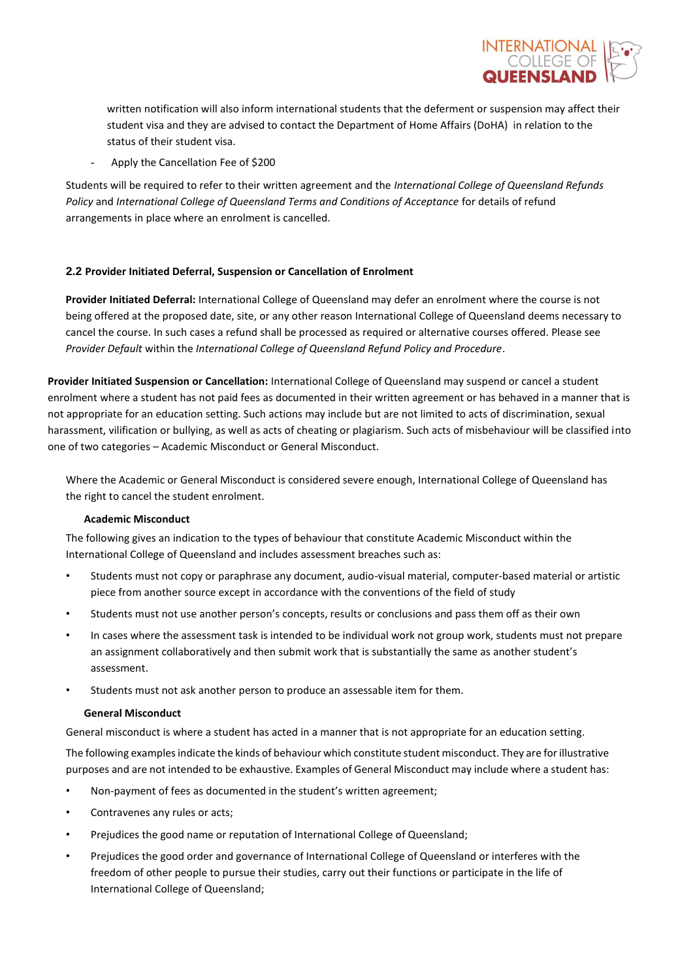

written notification will also inform international students that the deferment or suspension may affect their student visa and they are advised to contact the Department of Home Affairs (DoHA) in relation to the status of their student visa.

Apply the Cancellation Fee of \$200

Students will be required to refer to their written agreement and the *International College of Queensland Refunds Policy* and *International College of Queensland Terms and Conditions of Acceptance* for details of refund arrangements in place where an enrolment is cancelled.

## **2.2 Provider Initiated Deferral, Suspension or Cancellation of Enrolment**

**Provider Initiated Deferral:** International College of Queensland may defer an enrolment where the course is not being offered at the proposed date, site, or any other reason International College of Queensland deems necessary to cancel the course. In such cases a refund shall be processed as required or alternative courses offered. Please see *Provider Default* within the *International College of Queensland Refund Policy and Procedure*.

**Provider Initiated Suspension or Cancellation:** International College of Queensland may suspend or cancel a student enrolment where a student has not paid fees as documented in their written agreement or has behaved in a manner that is not appropriate for an education setting. Such actions may include but are not limited to acts of discrimination, sexual harassment, vilification or bullying, as well as acts of cheating or plagiarism. Such acts of misbehaviour will be classified into one of two categories – Academic Misconduct or General Misconduct.

Where the Academic or General Misconduct is considered severe enough, International College of Queensland has the right to cancel the student enrolment.

### **Academic Misconduct**

The following gives an indication to the types of behaviour that constitute Academic Misconduct within the International College of Queensland and includes assessment breaches such as:

- Students must not copy or paraphrase any document, audio-visual material, computer-based material or artistic piece from another source except in accordance with the conventions of the field of study
- Students must not use another person's concepts, results or conclusions and pass them off as their own
- In cases where the assessment task is intended to be individual work not group work, students must not prepare an assignment collaboratively and then submit work that is substantially the same as another student's assessment.
- Students must not ask another person to produce an assessable item for them.

### **General Misconduct**

General misconduct is where a student has acted in a manner that is not appropriate for an education setting.

The following examples indicate the kinds of behaviour which constitute student misconduct. They are for illustrative purposes and are not intended to be exhaustive. Examples of General Misconduct may include where a student has:

- Non-payment of fees as documented in the student's written agreement;
- Contravenes any rules or acts;
- Prejudices the good name or reputation of International College of Queensland;
- Prejudices the good order and governance of International College of Queensland or interferes with the freedom of other people to pursue their studies, carry out their functions or participate in the life of International College of Queensland;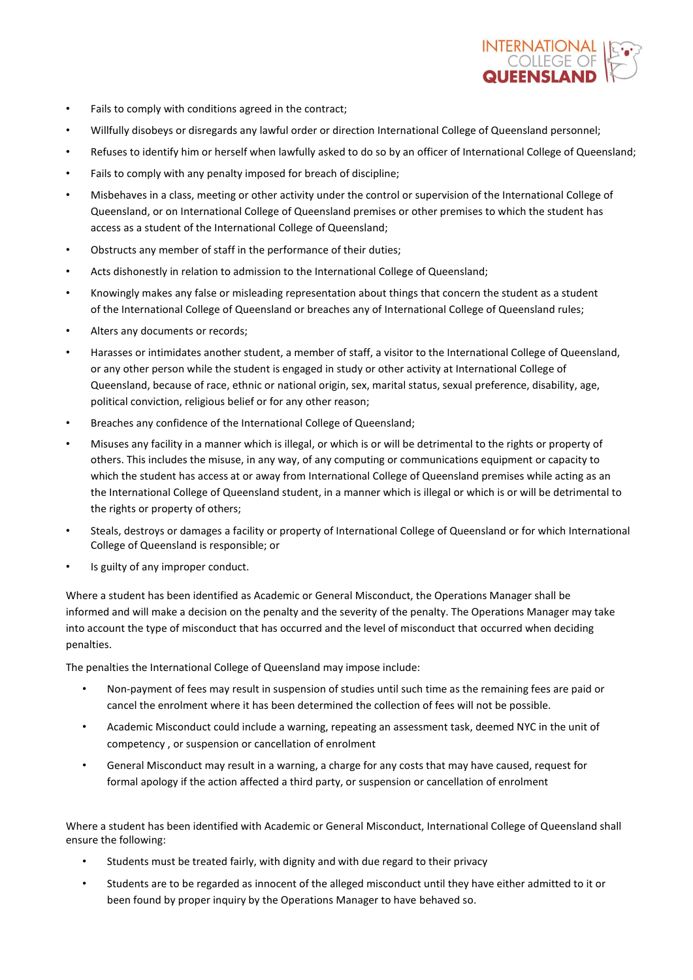

- Fails to comply with conditions agreed in the contract;
- Willfully disobeys or disregards any lawful order or direction International College of Queensland personnel;
- Refuses to identify him or herself when lawfully asked to do so by an officer of International College of Queensland;
- Fails to comply with any penalty imposed for breach of discipline;
- Misbehaves in a class, meeting or other activity under the control or supervision of the International College of Queensland, or on International College of Queensland premises or other premises to which the student has access as a student of the International College of Queensland;
- Obstructs any member of staff in the performance of their duties;
- Acts dishonestly in relation to admission to the International College of Queensland;
- Knowingly makes any false or misleading representation about things that concern the student as a student of the International College of Queensland or breaches any of International College of Queensland rules;
- Alters any documents or records;
- Harasses or intimidates another student, a member of staff, a visitor to the International College of Queensland, or any other person while the student is engaged in study or other activity at International College of Queensland, because of race, ethnic or national origin, sex, marital status, sexual preference, disability, age, political conviction, religious belief or for any other reason;
- Breaches any confidence of the International College of Queensland;
- Misuses any facility in a manner which is illegal, or which is or will be detrimental to the rights or property of others. This includes the misuse, in any way, of any computing or communications equipment or capacity to which the student has access at or away from International College of Queensland premises while acting as an the International College of Queensland student, in a manner which is illegal or which is or will be detrimental to the rights or property of others;
- Steals, destroys or damages a facility or property of International College of Queensland or for which International College of Queensland is responsible; or
- Is guilty of any improper conduct.

Where a student has been identified as Academic or General Misconduct, the Operations Manager shall be informed and will make a decision on the penalty and the severity of the penalty. The Operations Manager may take into account the type of misconduct that has occurred and the level of misconduct that occurred when deciding penalties.

The penalties the International College of Queensland may impose include:

- Non-payment of fees may result in suspension of studies until such time as the remaining fees are paid or cancel the enrolment where it has been determined the collection of fees will not be possible.
- Academic Misconduct could include a warning, repeating an assessment task, deemed NYC in the unit of competency , or suspension or cancellation of enrolment
- General Misconduct may result in a warning, a charge for any costs that may have caused, request for formal apology if the action affected a third party, or suspension or cancellation of enrolment

Where a student has been identified with Academic or General Misconduct, International College of Queensland shall ensure the following:

- Students must be treated fairly, with dignity and with due regard to their privacy
- Students are to be regarded as innocent of the alleged misconduct until they have either admitted to it or been found by proper inquiry by the Operations Manager to have behaved so.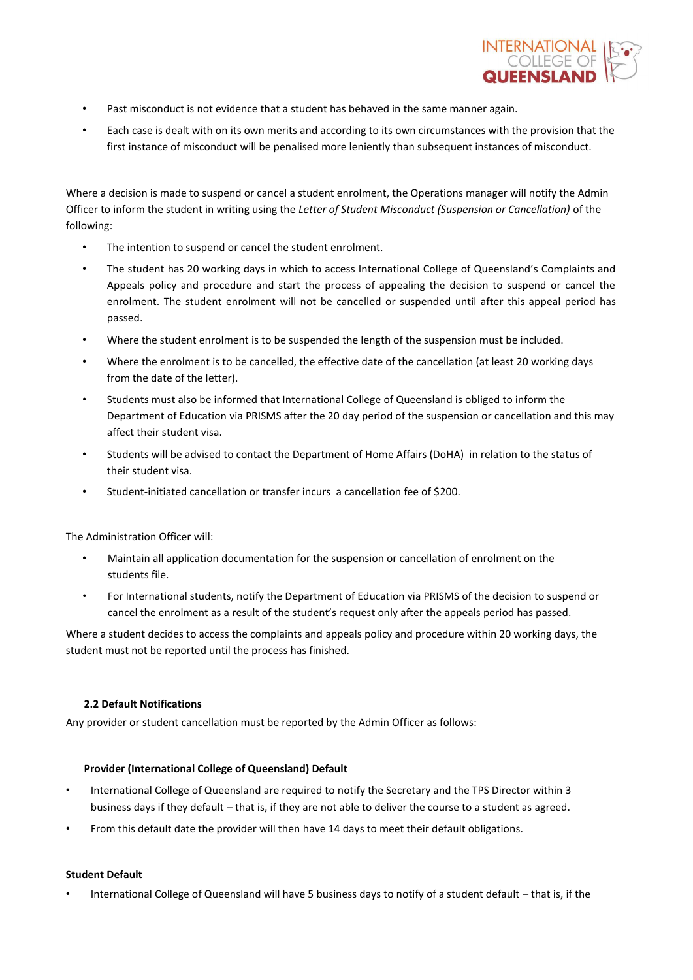

- Past misconduct is not evidence that a student has behaved in the same manner again.
- Each case is dealt with on its own merits and according to its own circumstances with the provision that the first instance of misconduct will be penalised more leniently than subsequent instances of misconduct.

Where a decision is made to suspend or cancel a student enrolment, the Operations manager will notify the Admin Officer to inform the student in writing using the *Letter of Student Misconduct (Suspension or Cancellation)* of the following:

- The intention to suspend or cancel the student enrolment.
- The student has 20 working days in which to access International College of Queensland's Complaints and Appeals policy and procedure and start the process of appealing the decision to suspend or cancel the enrolment. The student enrolment will not be cancelled or suspended until after this appeal period has passed.
- Where the student enrolment is to be suspended the length of the suspension must be included.
- Where the enrolment is to be cancelled, the effective date of the cancellation (at least 20 working days from the date of the letter).
- Students must also be informed that International College of Queensland is obliged to inform the Department of Education via PRISMS after the 20 day period of the suspension or cancellation and this may affect their student visa.
- Students will be advised to contact the Department of Home Affairs (DoHA) in relation to the status of their student visa.
- Student-initiated cancellation or transfer incurs a cancellation fee of \$200.

The Administration Officer will:

- Maintain all application documentation for the suspension or cancellation of enrolment on the students file.
- For International students, notify the Department of Education via PRISMS of the decision to suspend or cancel the enrolment as a result of the student's request only after the appeals period has passed.

Where a student decides to access the complaints and appeals policy and procedure within 20 working days, the student must not be reported until the process has finished.

### **2.2 Default Notifications**

Any provider or student cancellation must be reported by the Admin Officer as follows:

### **Provider (International College of Queensland) Default**

- International College of Queensland are required to notify the Secretary and the TPS Director within 3 business days if they default – that is, if they are not able to deliver the course to a student as agreed.
- From this default date the provider will then have 14 days to meet their default obligations.

### **Student Default**

• International College of Queensland will have 5 business days to notify of a student default – that is, if the